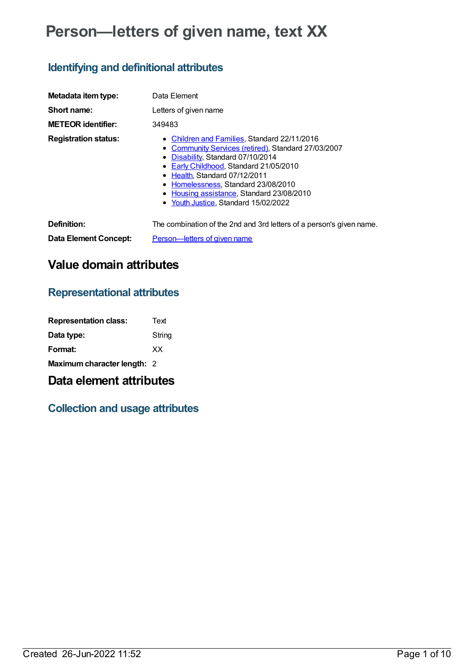# **Person—letters of given name, text XX**

## **Identifying and definitional attributes**

| Metadata item type:         | Data Element                                                                                                                                                                                                                                                                                                                                          |
|-----------------------------|-------------------------------------------------------------------------------------------------------------------------------------------------------------------------------------------------------------------------------------------------------------------------------------------------------------------------------------------------------|
| Short name:                 | Letters of given name                                                                                                                                                                                                                                                                                                                                 |
| <b>METEOR identifier:</b>   | 349483                                                                                                                                                                                                                                                                                                                                                |
| <b>Registration status:</b> | • Children and Families, Standard 22/11/2016<br>• Community Services (retired), Standard 27/03/2007<br>• Disability, Standard 07/10/2014<br>• Early Childhood, Standard 21/05/2010<br>• Health, Standard 07/12/2011<br>Homelessness, Standard 23/08/2010<br>٠<br>Housing assistance, Standard 23/08/2010<br>٠<br>• Youth Justice, Standard 15/02/2022 |
| Definition:                 | The combination of the 2nd and 3rd letters of a person's given name.                                                                                                                                                                                                                                                                                  |
| Data Element Concept:       | Person-letters of given name                                                                                                                                                                                                                                                                                                                          |

# **Value domain attributes**

### **Representational attributes**

| <b>Representation class:</b> | Text   |
|------------------------------|--------|
| Data type:                   | String |
| Format:                      | ХX     |
| Maximum character length: 2  |        |

### **Data element attributes**

### **Collection and usage attributes**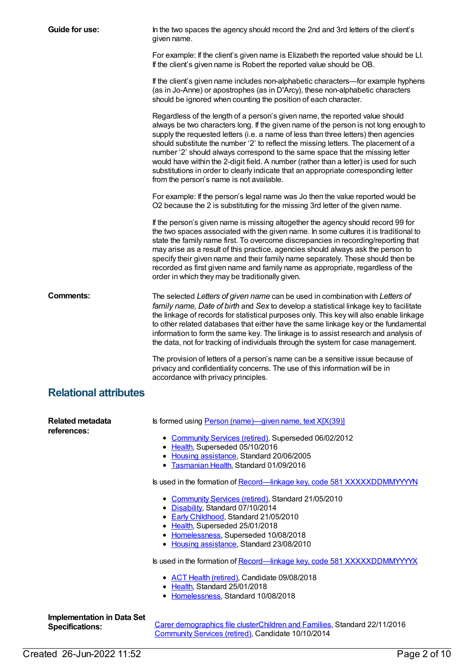| Guide for use:                                              | In the two spaces the agency should record the 2nd and 3rd letters of the client's<br>given name.                                                                                                                                                                                                                                                                                                                                                                                                                                                                                                                                                               |
|-------------------------------------------------------------|-----------------------------------------------------------------------------------------------------------------------------------------------------------------------------------------------------------------------------------------------------------------------------------------------------------------------------------------------------------------------------------------------------------------------------------------------------------------------------------------------------------------------------------------------------------------------------------------------------------------------------------------------------------------|
|                                                             | For example: If the client's given name is Elizabeth the reported value should be LI.<br>If the client's given name is Robert the reported value should be OB.                                                                                                                                                                                                                                                                                                                                                                                                                                                                                                  |
|                                                             | If the client's given name includes non-alphabetic characters—for example hyphens<br>(as in Jo-Anne) or apostrophes (as in D'Arcy), these non-alphabetic characters<br>should be ignored when counting the position of each character.                                                                                                                                                                                                                                                                                                                                                                                                                          |
|                                                             | Regardless of the length of a person's given name, the reported value should<br>always be two characters long. If the given name of the person is not long enough to<br>supply the requested letters (i.e. a name of less than three letters) then agencies<br>should substitute the number '2' to reflect the missing letters. The placement of a<br>number '2' should always correspond to the same space that the missing letter<br>would have within the 2-digit field. A number (rather than a letter) is used for such<br>substitutions in order to clearly indicate that an appropriate corresponding letter<br>from the person's name is not available. |
|                                                             | For example: If the person's legal name was Jo then the value reported would be<br>O2 because the 2 is substituting for the missing 3rd letter of the given name.                                                                                                                                                                                                                                                                                                                                                                                                                                                                                               |
|                                                             | If the person's given name is missing altogether the agency should record 99 for<br>the two spaces associated with the given name. In some cultures it is traditional to<br>state the family name first. To overcome discrepancies in recording/reporting that<br>may arise as a result of this practice, agencies should always ask the person to<br>specify their given name and their family name separately. These should then be<br>recorded as first given name and family name as appropriate, regardless of the<br>order in which they may be traditionally given.                                                                                      |
| <b>Comments:</b>                                            | The selected Letters of given name can be used in combination with Letters of<br>family name, Date of birth and Sex to develop a statistical linkage key to facilitate<br>the linkage of records for statistical purposes only. This key will also enable linkage<br>to other related databases that either have the same linkage key or the fundamental<br>information to form the same key. The linkage is to assist research and analysis of<br>the data, not for tracking of individuals through the system for case management.                                                                                                                            |
|                                                             | The provision of letters of a person's name can be a sensitive issue because of<br>privacy and confidentiality concerns. The use of this information will be in<br>accordance with privacy principles.                                                                                                                                                                                                                                                                                                                                                                                                                                                          |
| <b>Relational attributes</b>                                |                                                                                                                                                                                                                                                                                                                                                                                                                                                                                                                                                                                                                                                                 |
| <b>Related metadata</b><br>references:                      | Is formed using Person (name)-given name, text X[X(39)]<br>• Community Services (retired), Superseded 06/02/2012<br>• Health, Superseded 05/10/2016<br>• Housing assistance, Standard 20/06/2005<br>• Tasmanian Health, Standard 01/09/2016                                                                                                                                                                                                                                                                                                                                                                                                                     |
|                                                             | Is used in the formation of Record-linkage key, code 581 XXXXXDDMMYYYYN                                                                                                                                                                                                                                                                                                                                                                                                                                                                                                                                                                                         |
|                                                             | • Community Services (retired), Standard 21/05/2010<br>• Disability, Standard 07/10/2014<br>• Early Childhood, Standard 21/05/2010<br>• Health, Superseded 25/01/2018<br>• Homelessness, Superseded 10/08/2018<br>• Housing assistance, Standard 23/08/2010                                                                                                                                                                                                                                                                                                                                                                                                     |
|                                                             | Is used in the formation of Record-linkage key, code 581 XXXXXDDMMYYYYX                                                                                                                                                                                                                                                                                                                                                                                                                                                                                                                                                                                         |
|                                                             | • ACT Health (retired), Candidate 09/08/2018<br>• Health, Standard 25/01/2018<br>• Homelessness, Standard 10/08/2018                                                                                                                                                                                                                                                                                                                                                                                                                                                                                                                                            |
| <b>Implementation in Data Set</b><br><b>Specifications:</b> | Carer demographics file clusterChildren and Families, Standard 22/11/2016<br>Community Services (retired), Candidate 10/10/2014                                                                                                                                                                                                                                                                                                                                                                                                                                                                                                                                 |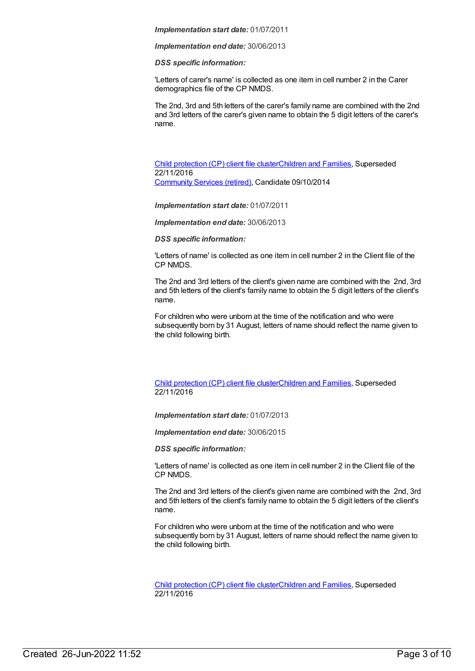*Implementation end date:* 30/06/2013

*DSS specific information:*

'Letters of carer's name' is collected as one item in cell number 2 in the Carer demographics file of the CP NMDS.

The 2nd, 3rd and 5th letters of the carer's family name are combined with the 2nd and 3rd letters of the carer's given name to obtain the 5 digit letters of the carer's name.

Child [protection](https://meteor.aihw.gov.au/content/492589) (CP) client file clusterChildren and [Families](https://meteor.aihw.gov.au/RegistrationAuthority/17), Superseded 22/11/2016 [Community](https://meteor.aihw.gov.au/RegistrationAuthority/1) Services (retired), Candidate 09/10/2014

*Implementation start date:* 01/07/2011

*Implementation end date:* 30/06/2013

*DSS specific information:*

'Letters of name' is collected as one item in cell number 2 in the Client file of the CP NMDS.

The 2nd and 3rd letters of the client's given name are combined with the 2nd, 3rd and 5th letters of the client's family name to obtain the 5 digit letters of the client's name.

For children who were unborn at the time of the notification and who were subsequently born by 31 August, letters of name should reflect the name given to the child following birth.

Child [protection](https://meteor.aihw.gov.au/content/656475) (CP) client file clusterChildren and [Families](https://meteor.aihw.gov.au/RegistrationAuthority/17), Superseded 22/11/2016

*Implementation start date:* 01/07/2013

*Implementation end date:* 30/06/2015

*DSS specific information:*

'Letters of name' is collected as one item in cell number 2 in the Client file of the CP NMDS.

The 2nd and 3rd letters of the client's given name are combined with the 2nd, 3rd and 5th letters of the client's family name to obtain the 5 digit letters of the client's name.

For children who were unborn at the time of the notification and who were subsequently born by 31 August, letters of name should reflect the name given to the child following birth.

Child [protection](https://meteor.aihw.gov.au/content/655203) (CP) client file clusterChildren and [Families](https://meteor.aihw.gov.au/RegistrationAuthority/17), Superseded 22/11/2016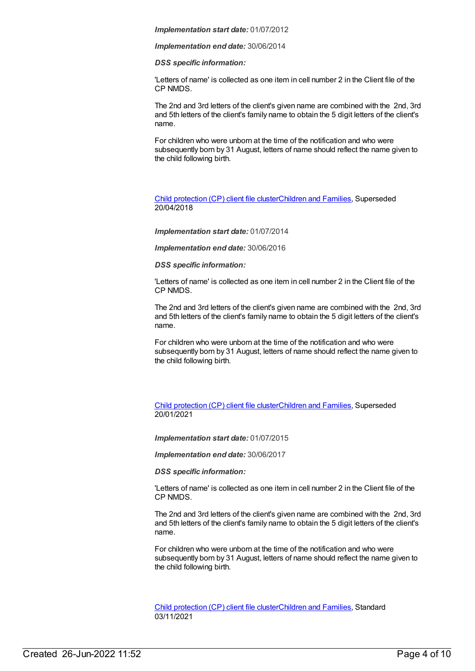*Implementation end date:* 30/06/2014

*DSS specific information:*

'Letters of name' is collected as one item in cell number 2 in the Client file of the CP NMDS.

The 2nd and 3rd letters of the client's given name are combined with the 2nd, 3rd and 5th letters of the client's family name to obtain the 5 digit letters of the client's name.

For children who were unborn at the time of the notification and who were subsequently born by 31 August, letters of name should reflect the name given to the child following birth.

Child [protection](https://meteor.aihw.gov.au/content/656496) (CP) client file clusterChildren and [Families](https://meteor.aihw.gov.au/RegistrationAuthority/17), Superseded 20/04/2018

*Implementation start date:* 01/07/2014

*Implementation end date:* 30/06/2016

*DSS specific information:*

'Letters of name' is collected as one item in cell number 2 in the Client file of the CP NMDS.

The 2nd and 3rd letters of the client's given name are combined with the 2nd, 3rd and 5th letters of the client's family name to obtain the 5 digit letters of the client's name.

For children who were unborn at the time of the notification and who were subsequently born by 31 August, letters of name should reflect the name given to the child following birth.

Child [protection](https://meteor.aihw.gov.au/content/688429) (CP) client file clusterChildren and [Families](https://meteor.aihw.gov.au/RegistrationAuthority/17), Superseded 20/01/2021

*Implementation start date:* 01/07/2015

*Implementation end date:* 30/06/2017

*DSS specific information:*

'Letters of name' is collected as one item in cell number 2 in the Client file of the CP NMDS.

The 2nd and 3rd letters of the client's given name are combined with the 2nd, 3rd and 5th letters of the client's family name to obtain the 5 digit letters of the client's name.

For children who were unborn at the time of the notification and who were subsequently born by 31 August, letters of name should reflect the name given to the child following birth.

Child [protection](https://meteor.aihw.gov.au/content/748904) (CP) client file clusterChildren and [Families](https://meteor.aihw.gov.au/RegistrationAuthority/17), Standard 03/11/2021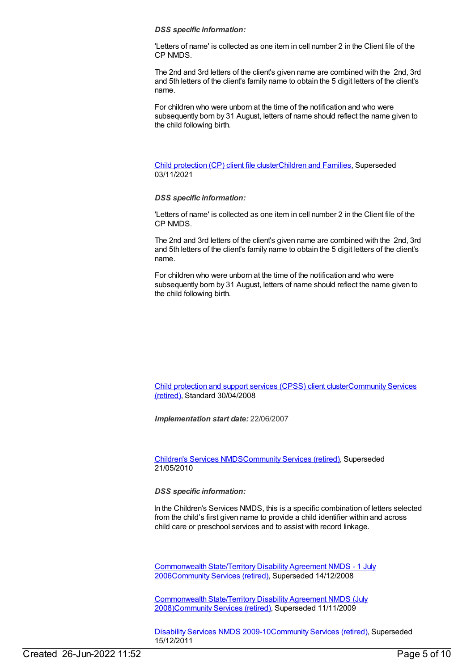#### *DSS specific information:*

'Letters of name' is collected as one item in cell number 2 in the Client file of the CP NMDS.

The 2nd and 3rd letters of the client's given name are combined with the 2nd, 3rd and 5th letters of the client's family name to obtain the 5 digit letters of the client's name.

For children who were unborn at the time of the notification and who were subsequently born by 31 August, letters of name should reflect the name given to the child following birth.

Child [protection](https://meteor.aihw.gov.au/content/706958) (CP) client file clusterChildren and [Families](https://meteor.aihw.gov.au/RegistrationAuthority/17), Superseded 03/11/2021

#### *DSS specific information:*

'Letters of name' is collected as one item in cell number 2 in the Client file of the CP NMDS.

The 2nd and 3rd letters of the client's given name are combined with the 2nd, 3rd and 5th letters of the client's family name to obtain the 5 digit letters of the client's name.

For children who were unborn at the time of the notification and who were subsequently born by 31 August, letters of name should reflect the name given to the child following birth.

Child [protection](https://meteor.aihw.gov.au/content/355790) and support services (CPSS) client [clusterCommunity](https://meteor.aihw.gov.au/RegistrationAuthority/1) Services (retired), Standard 30/04/2008

*Implementation start date:* 22/06/2007

[Children's](https://meteor.aihw.gov.au/content/308217) Services NMD[SCommunity](https://meteor.aihw.gov.au/RegistrationAuthority/1) Services (retired), Superseded 21/05/2010

*DSS specific information:*

In the Children's Services NMDS, this is a specific combination of letters selected from the child's first given name to provide a child identifier within and across child care or preschool services and to assist with record linkage.

[Commonwealth](https://meteor.aihw.gov.au/content/317350) State/Territory Disability Agreement NMDS - 1 July 200[6Community](https://meteor.aihw.gov.au/RegistrationAuthority/1) Services (retired), Superseded 14/12/2008

[Commonwealth](https://meteor.aihw.gov.au/content/372123) State/Territory Disability Agreement NMDS (July 2008[\)Community](https://meteor.aihw.gov.au/RegistrationAuthority/1) Services (retired), Superseded 11/11/2009

[Disability](https://meteor.aihw.gov.au/content/386485) Services NMDS 2009-10[Community](https://meteor.aihw.gov.au/RegistrationAuthority/1) Services (retired), Superseded 15/12/2011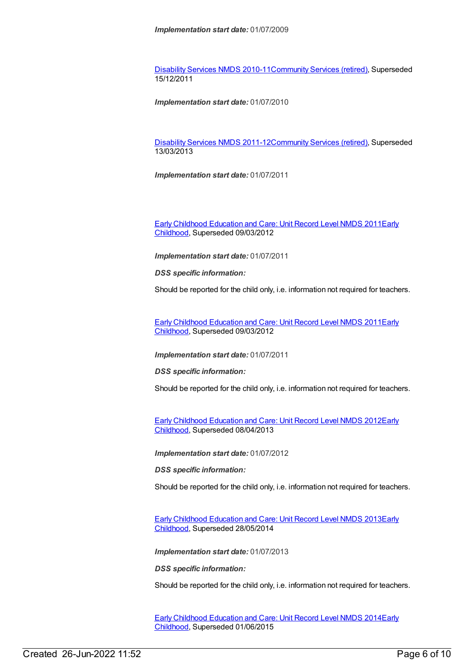[Disability](https://meteor.aihw.gov.au/content/428708) Services NMDS 2010-11[Community](https://meteor.aihw.gov.au/RegistrationAuthority/1) Services (retired), Superseded 15/12/2011

*Implementation start date:* 01/07/2010

[Disability](https://meteor.aihw.gov.au/content/461636) Services NMDS 2011-12[Community](https://meteor.aihw.gov.au/RegistrationAuthority/1) Services (retired), Superseded 13/03/2013

*Implementation start date:* 01/07/2011

Early Childhood [Education](https://meteor.aihw.gov.au/RegistrationAuthority/13) and Care: Unit Record Level NMDS 2011Early Childhood, Superseded 09/03/2012

*Implementation start date:* 01/07/2011

*DSS specific information:*

Should be reported for the child only, i.e. information not required for teachers.

Early Childhood [Education](https://meteor.aihw.gov.au/content/438006) and Care: Unit Record Level NMDS 2011Early Childhood, [Superseded](https://meteor.aihw.gov.au/RegistrationAuthority/13) 09/03/2012

*Implementation start date:* 01/07/2011

*DSS specific information:*

Should be reported for the child only, i.e. information not required for teachers.

Early Childhood [Education](https://meteor.aihw.gov.au/content/466523) and Care: Unit Record Level NMDS 2012Early Childhood, [Superseded](https://meteor.aihw.gov.au/RegistrationAuthority/13) 08/04/2013

*Implementation start date:* 01/07/2012

*DSS specific information:*

Should be reported for the child only, i.e. information not required for teachers.

Early Childhood [Education](https://meteor.aihw.gov.au/content/494147) and Care: Unit Record Level NMDS 2013Early Childhood, [Superseded](https://meteor.aihw.gov.au/RegistrationAuthority/13) 28/05/2014

*Implementation start date:* 01/07/2013

*DSS specific information:*

Should be reported for the child only, i.e. information not required for teachers.

Early Childhood [Education](https://meteor.aihw.gov.au/content/555380) and Care: Unit Record Level NMDS 2014Early Childhood, [Superseded](https://meteor.aihw.gov.au/RegistrationAuthority/13) 01/06/2015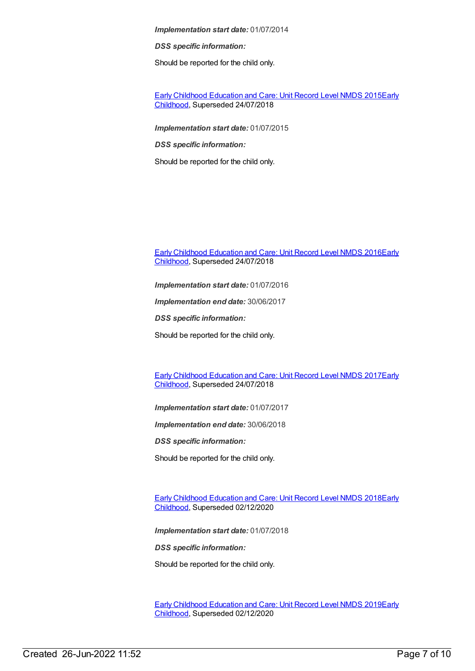*DSS specific information:*

Should be reported for the child only.

Early Childhood [Education](https://meteor.aihw.gov.au/content/602247) and Care: Unit Record Level NMDS 2015Early Childhood, [Superseded](https://meteor.aihw.gov.au/RegistrationAuthority/13) 24/07/2018

*Implementation start date:* 01/07/2015

*DSS specific information:*

Should be reported for the child only.

Early Childhood [Education](https://meteor.aihw.gov.au/RegistrationAuthority/13) and Care: Unit Record Level NMDS 2016Early Childhood, Superseded 24/07/2018

*Implementation start date:* 01/07/2016

*Implementation end date:* 30/06/2017

*DSS specific information:*

Should be reported for the child only.

Early Childhood [Education](https://meteor.aihw.gov.au/content/686135) and Care: Unit Record Level NMDS 2017Early Childhood, [Superseded](https://meteor.aihw.gov.au/RegistrationAuthority/13) 24/07/2018

*Implementation start date:* 01/07/2017

*Implementation end date:* 30/06/2018

*DSS specific information:*

Should be reported for the child only.

Early Childhood [Education](https://meteor.aihw.gov.au/content/686221) and Care: Unit Record Level NMDS 2018Early Childhood, [Superseded](https://meteor.aihw.gov.au/RegistrationAuthority/13) 02/12/2020

*Implementation start date:* 01/07/2018

*DSS specific information:*

Should be reported for the child only.

Early Childhood [Education](https://meteor.aihw.gov.au/content/731157) and Care: Unit Record Level NMDS 2019Early Childhood, [Superseded](https://meteor.aihw.gov.au/RegistrationAuthority/13) 02/12/2020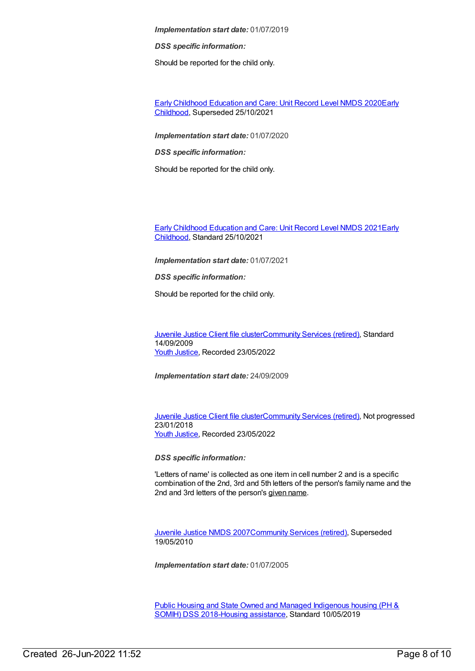*DSS specific information:*

Should be reported for the child only.

Early Childhood [Education](https://meteor.aihw.gov.au/content/731168) and Care: Unit Record Level NMDS 2020Early Childhood, [Superseded](https://meteor.aihw.gov.au/RegistrationAuthority/13) 25/10/2021

*Implementation start date:* 01/07/2020

*DSS specific information:*

Should be reported for the child only.

Early Childhood [Education](https://meteor.aihw.gov.au/RegistrationAuthority/13) and Care: Unit Record Level NMDS 2021Early Childhood, Standard 25/10/2021

*Implementation start date:* 01/07/2021

*DSS specific information:*

Should be reported for the child only.

[Juvenile](https://meteor.aihw.gov.au/content/386845) Justice Client file cluste[rCommunity](https://meteor.aihw.gov.au/RegistrationAuthority/1) Services (retired), Standard 14/09/2009 Youth [Justice](https://meteor.aihw.gov.au/RegistrationAuthority/4), Recorded 23/05/2022

*Implementation start date:* 24/09/2009

[Juvenile](https://meteor.aihw.gov.au/content/513199) Justice Client file cluste[rCommunity](https://meteor.aihw.gov.au/RegistrationAuthority/1) Services (retired), Not progressed 23/01/2018 Youth [Justice](https://meteor.aihw.gov.au/RegistrationAuthority/4), Recorded 23/05/2022

*DSS specific information:*

'Letters of name' is collected as one item in cell number 2 and is a specific combination of the 2nd, 3rd and 5th letters of the person's family name and the 2nd and 3rd letters of the person's given name.

[Juvenile](https://meteor.aihw.gov.au/content/314122) Justice NMDS 200[7Community](https://meteor.aihw.gov.au/RegistrationAuthority/1) Services (retired), Superseded 19/05/2010

*Implementation start date:* 01/07/2005

Public Housing and State Owned and Managed Indigenous housing (PH & SOMIH) DSS [2018-Housing](https://meteor.aihw.gov.au/content/711016) [assistance](https://meteor.aihw.gov.au/RegistrationAuthority/11), Standard 10/05/2019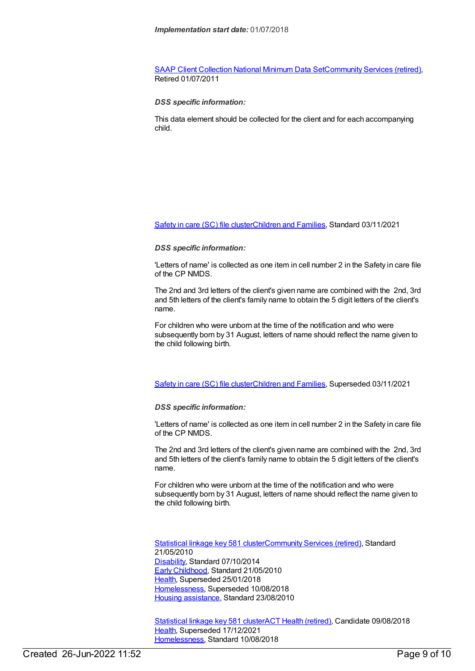SAAP Client [Collection](https://meteor.aihw.gov.au/content/339019) National Minimum Data Se[tCommunity](https://meteor.aihw.gov.au/RegistrationAuthority/1) Services (retired), Retired 01/07/2011

#### *DSS specific information:*

This data element should be collected for the client and for each accompanying child.

[Safety](https://meteor.aihw.gov.au/content/748884) in care (SC) file cluste[rChildren](https://meteor.aihw.gov.au/RegistrationAuthority/17) and Families, Standard 03/11/2021

#### *DSS specific information:*

'Letters of name' is collected as one item in cell number 2 in the Safety in care file of the CP NMDS.

The 2nd and 3rd letters of the client's given name are combined with the 2nd, 3rd and 5th letters of the client's family name to obtain the 5 digit letters of the client's name.

For children who were unborn at the time of the notification and who were subsequently born by 31 August, letters of name should reflect the name given to the child following birth.

[Safety](https://meteor.aihw.gov.au/content/740182) in care (SC) file cluste[rChildren](https://meteor.aihw.gov.au/RegistrationAuthority/17) and Families, Superseded 03/11/2021

#### *DSS specific information:*

'Letters of name' is collected as one item in cell number 2 in the Safety in care file of the CP NMDS.

The 2nd and 3rd letters of the client's given name are combined with the 2nd, 3rd and 5th letters of the client's family name to obtain the 5 digit letters of the client's name.

For children who were unborn at the time of the notification and who were subsequently born by 31 August, letters of name should reflect the name given to the child following birth.

[Statistical](https://meteor.aihw.gov.au/content/349510) linkage key 581 cluste[rCommunity](https://meteor.aihw.gov.au/RegistrationAuthority/1) Services (retired), Standard 21/05/2010 [Disability](https://meteor.aihw.gov.au/RegistrationAuthority/16), Standard 07/10/2014 Early [Childhood](https://meteor.aihw.gov.au/RegistrationAuthority/13), Standard 21/05/2010 [Health](https://meteor.aihw.gov.au/RegistrationAuthority/12), Superseded 25/01/2018 [Homelessness](https://meteor.aihw.gov.au/RegistrationAuthority/14), Superseded 10/08/2018 Housing [assistance](https://meteor.aihw.gov.au/RegistrationAuthority/11), Standard 23/08/2010

[Statistical](https://meteor.aihw.gov.au/content/686238) linkage key 581 clusterACT Health [\(retired\)](https://meteor.aihw.gov.au/RegistrationAuthority/9), Candidate 09/08/2018 [Health](https://meteor.aihw.gov.au/RegistrationAuthority/12), Superseded 17/12/2021 [Homelessness](https://meteor.aihw.gov.au/RegistrationAuthority/14), Standard 10/08/2018